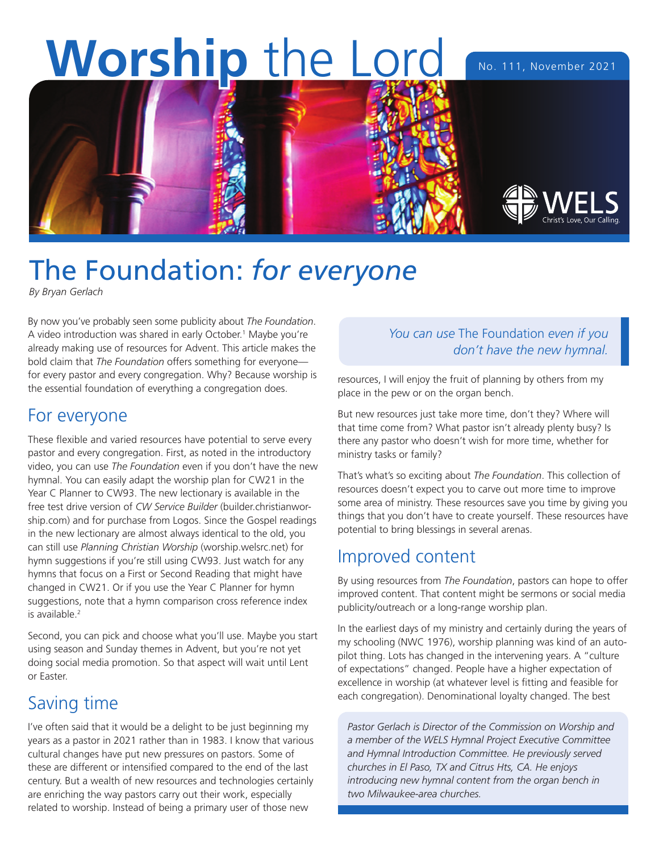# Worship the Lord No. 111, November 2021



## The Foundation: *for everyone*

*By Bryan Gerlach*

By now you've probably seen some publicity about *The Foundation*. A video introduction was shared in early October.<sup>1</sup> Maybe you're already making use of resources for Advent. This article makes the bold claim that *The Foundation* offers something for everyone for every pastor and every congregation. Why? Because worship is the essential foundation of everything a congregation does.

#### For everyone

These flexible and varied resources have potential to serve every pastor and every congregation. First, as noted in the introductory video, you can use *The Foundation* even if you don't have the new hymnal. You can easily adapt the worship plan for CW21 in the Year C Planner to CW93. The new lectionary is available in the free test drive version of *CW Service Builder* (builder.christianworship.com) and for purchase from Logos. Since the Gospel readings in the new lectionary are almost always identical to the old, you can still use *Planning Christian Worship* (worship.welsrc.net) for hymn suggestions if you're still using CW93. Just watch for any hymns that focus on a First or Second Reading that might have changed in CW21. Or if you use the Year C Planner for hymn suggestions, note that a hymn comparison cross reference index is available.2

Second, you can pick and choose what you'll use. Maybe you start using season and Sunday themes in Advent, but you're not yet doing social media promotion. So that aspect will wait until Lent or Easter.

#### Saving time

I've often said that it would be a delight to be just beginning my years as a pastor in 2021 rather than in 1983. I know that various cultural changes have put new pressures on pastors. Some of these are different or intensified compared to the end of the last century. But a wealth of new resources and technologies certainly are enriching the way pastors carry out their work, especially related to worship. Instead of being a primary user of those new

#### *You can use* The Foundation *even if you don't have the new hymnal.*

resources, I will enjoy the fruit of planning by others from my place in the pew or on the organ bench.

But new resources just take more time, don't they? Where will that time come from? What pastor isn't already plenty busy? Is there any pastor who doesn't wish for more time, whether for ministry tasks or family?

That's what's so exciting about *The Foundation*. This collection of resources doesn't expect you to carve out more time to improve some area of ministry. These resources save you time by giving you things that you don't have to create yourself. These resources have potential to bring blessings in several arenas.

#### Improved content

By using resources from *The Foundation*, pastors can hope to offer improved content. That content might be sermons or social media publicity/outreach or a long-range worship plan.

In the earliest days of my ministry and certainly during the years of my schooling (NWC 1976), worship planning was kind of an autopilot thing. Lots has changed in the intervening years. A "culture of expectations" changed. People have a higher expectation of excellence in worship (at whatever level is fitting and feasible for each congregation). Denominational loyalty changed. The best

*Pastor Gerlach is Director of the Commission on Worship and a member of the WELS Hymnal Project Executive Committee and Hymnal Introduction Committee. He previously served churches in El Paso, TX and Citrus Hts, CA. He enjoys introducing new hymnal content from the organ bench in two Milwaukee-area churches.*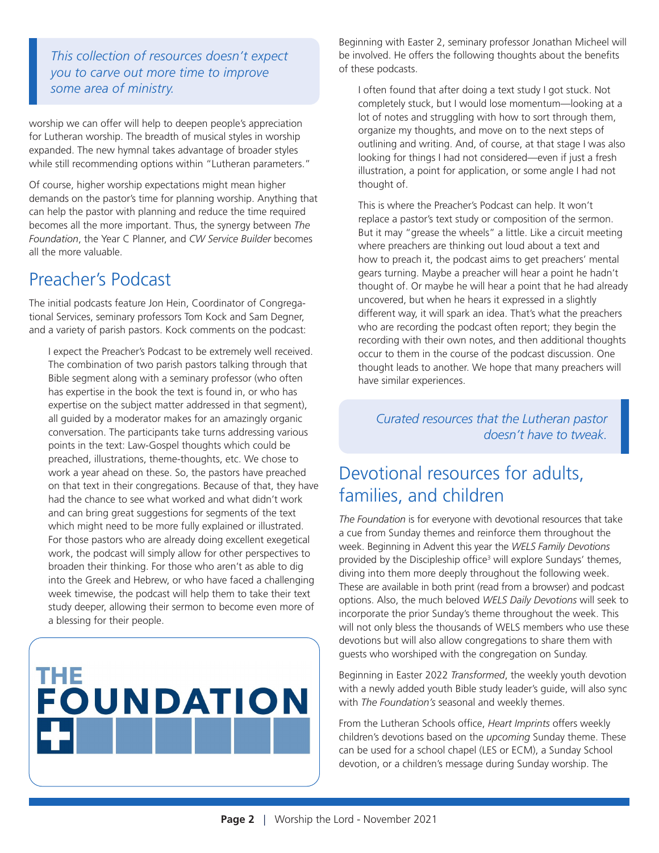*This collection of resources doesn't expect you to carve out more time to improve some area of ministry.*

worship we can offer will help to deepen people's appreciation for Lutheran worship. The breadth of musical styles in worship expanded. The new hymnal takes advantage of broader styles while still recommending options within "Lutheran parameters."

Of course, higher worship expectations might mean higher demands on the pastor's time for planning worship. Anything that can help the pastor with planning and reduce the time required becomes all the more important. Thus, the synergy between *The Foundation*, the Year C Planner, and *CW Service Builder* becomes all the more valuable.

#### Preacher's Podcast

The initial podcasts feature Jon Hein, Coordinator of Congregational Services, seminary professors Tom Kock and Sam Degner, and a variety of parish pastors. Kock comments on the podcast:

I expect the Preacher's Podcast to be extremely well received. The combination of two parish pastors talking through that Bible segment along with a seminary professor (who often has expertise in the book the text is found in, or who has expertise on the subject matter addressed in that segment), all guided by a moderator makes for an amazingly organic conversation. The participants take turns addressing various points in the text: Law-Gospel thoughts which could be preached, illustrations, theme-thoughts, etc. We chose to work a year ahead on these. So, the pastors have preached on that text in their congregations. Because of that, they have had the chance to see what worked and what didn't work and can bring great suggestions for segments of the text which might need to be more fully explained or illustrated. For those pastors who are already doing excellent exegetical work, the podcast will simply allow for other perspectives to broaden their thinking. For those who aren't as able to dig into the Greek and Hebrew, or who have faced a challenging week timewise, the podcast will help them to take their text study deeper, allowing their sermon to become even more of a blessing for their people.



Beginning with Easter 2, seminary professor Jonathan Micheel will be involved. He offers the following thoughts about the benefits of these podcasts.

I often found that after doing a text study I got stuck. Not completely stuck, but I would lose momentum—looking at a lot of notes and struggling with how to sort through them, organize my thoughts, and move on to the next steps of outlining and writing. And, of course, at that stage I was also looking for things I had not considered—even if just a fresh illustration, a point for application, or some angle I had not thought of.

This is where the Preacher's Podcast can help. It won't replace a pastor's text study or composition of the sermon. But it may "grease the wheels" a little. Like a circuit meeting where preachers are thinking out loud about a text and how to preach it, the podcast aims to get preachers' mental gears turning. Maybe a preacher will hear a point he hadn't thought of. Or maybe he will hear a point that he had already uncovered, but when he hears it expressed in a slightly different way, it will spark an idea. That's what the preachers who are recording the podcast often report; they begin the recording with their own notes, and then additional thoughts occur to them in the course of the podcast discussion. One thought leads to another. We hope that many preachers will have similar experiences.

*Curated resources that the Lutheran pastor doesn't have to tweak.*

#### Devotional resources for adults, families, and children

*The Foundation* is for everyone with devotional resources that take a cue from Sunday themes and reinforce them throughout the week. Beginning in Advent this year the *WELS Family Devotions* provided by the Discipleship office<sup>3</sup> will explore Sundays' themes, diving into them more deeply throughout the following week. These are available in both print (read from a browser) and podcast options. Also, the much beloved *WELS Daily Devotions* will seek to incorporate the prior Sunday's theme throughout the week. This will not only bless the thousands of WELS members who use these devotions but will also allow congregations to share them with guests who worshiped with the congregation on Sunday.

Beginning in Easter 2022 *Transformed*, the weekly youth devotion with a newly added youth Bible study leader's guide, will also sync with *The Foundation's* seasonal and weekly themes.

From the Lutheran Schools office, *Heart Imprints* offers weekly children's devotions based on the *upcoming* Sunday theme. These can be used for a school chapel (LES or ECM), a Sunday School devotion, or a children's message during Sunday worship. The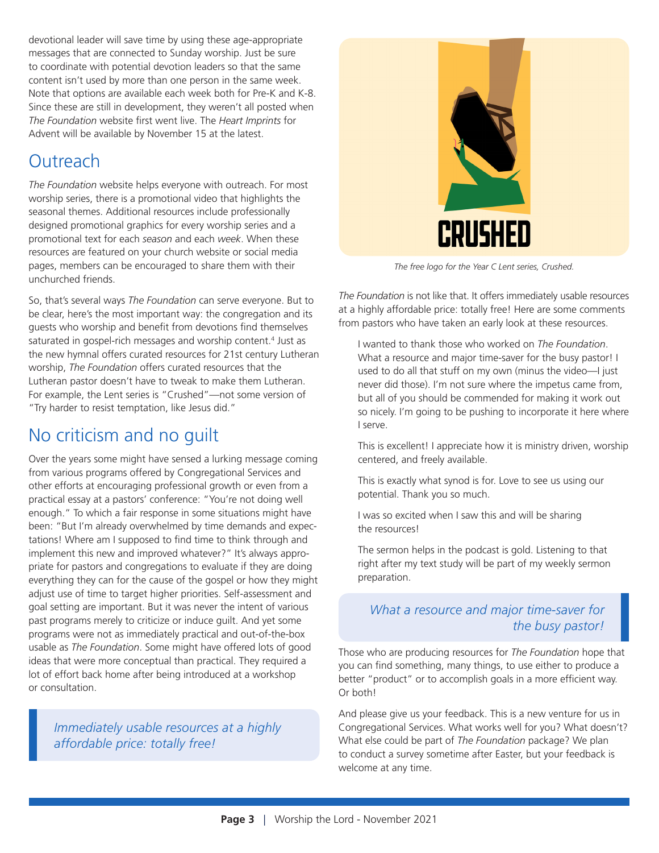devotional leader will save time by using these age-appropriate messages that are connected to Sunday worship. Just be sure to coordinate with potential devotion leaders so that the same content isn't used by more than one person in the same week. Note that options are available each week both for Pre-K and K-8. Since these are still in development, they weren't all posted when *The Foundation* website first went live. The *Heart Imprints* for Advent will be available by November 15 at the latest.

#### Outreach

*The Foundation* website helps everyone with outreach. For most worship series, there is a promotional video that highlights the seasonal themes. Additional resources include professionally designed promotional graphics for every worship series and a promotional text for each *season* and each *week*. When these resources are featured on your church website or social media pages, members can be encouraged to share them with their unchurched friends.

So, that's several ways *The Foundation* can serve everyone. But to be clear, here's the most important way: the congregation and its guests who worship and benefit from devotions find themselves saturated in gospel-rich messages and worship content.<sup>4</sup> Just as the new hymnal offers curated resources for 21st century Lutheran worship, *The Foundation* offers curated resources that the Lutheran pastor doesn't have to tweak to make them Lutheran. For example, the Lent series is "Crushed"—not some version of "Try harder to resist temptation, like Jesus did."

### No criticism and no guilt

Over the years some might have sensed a lurking message coming from various programs offered by Congregational Services and other efforts at encouraging professional growth or even from a practical essay at a pastors' conference: "You're not doing well enough." To which a fair response in some situations might have been: "But I'm already overwhelmed by time demands and expectations! Where am I supposed to find time to think through and implement this new and improved whatever?" It's always appropriate for pastors and congregations to evaluate if they are doing everything they can for the cause of the gospel or how they might adjust use of time to target higher priorities. Self-assessment and goal setting are important. But it was never the intent of various past programs merely to criticize or induce guilt. And yet some programs were not as immediately practical and out-of-the-box usable as *The Foundation*. Some might have offered lots of good ideas that were more conceptual than practical. They required a lot of effort back home after being introduced at a workshop or consultation.

*Immediately usable resources at a highly affordable price: totally free!*



*The free logo for the Year C Lent series, Crushed.*

*The Foundation* is not like that. It offers immediately usable resources at a highly affordable price: totally free! Here are some comments from pastors who have taken an early look at these resources.

I wanted to thank those who worked on *The Foundation*. What a resource and major time-saver for the busy pastor! I used to do all that stuff on my own (minus the video—I just never did those). I'm not sure where the impetus came from, but all of you should be commended for making it work out so nicely. I'm going to be pushing to incorporate it here where I serve.

This is excellent! I appreciate how it is ministry driven, worship centered, and freely available.

This is exactly what synod is for. Love to see us using our potential. Thank you so much.

I was so excited when I saw this and will be sharing the resources!

The sermon helps in the podcast is gold. Listening to that right after my text study will be part of my weekly sermon preparation.

#### *What a resource and major time-saver for the busy pastor!*

Those who are producing resources for *The Foundation* hope that you can find something, many things, to use either to produce a better "product" or to accomplish goals in a more efficient way. Or both!

And please give us your feedback. This is a new venture for us in Congregational Services. What works well for you? What doesn't? What else could be part of *The Foundation* package? We plan to conduct a survey sometime after Easter, but your feedback is welcome at any time.